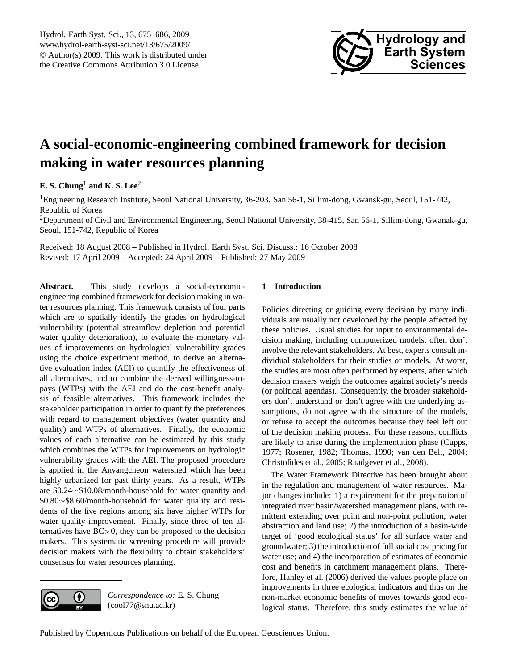

# <span id="page-0-0"></span>**A social-economic-engineering combined framework for decision making in water resources planning**

## **E. S. Chung**<sup>1</sup> **and K. S. Lee**<sup>2</sup>

<sup>1</sup>Engineering Research Institute, Seoul National University, 36-203. San 56-1, Sillim-dong, Gwansk-gu, Seoul, 151-742, Republic of Korea

<sup>2</sup>Department of Civil and Environmental Engineering, Seoul National University, 38-415, San 56-1, Sillim-dong, Gwanak-gu, Seoul, 151-742, Republic of Korea

Received: 18 August 2008 – Published in Hydrol. Earth Syst. Sci. Discuss.: 16 October 2008 Revised: 17 April 2009 – Accepted: 24 April 2009 – Published: 27 May 2009

**Abstract.** This study develops a social-economicengineering combined framework for decision making in water resources planning. This framework consists of four parts which are to spatially identify the grades on hydrological vulnerability (potential streamflow depletion and potential water quality deterioration), to evaluate the monetary values of improvements on hydrological vulnerability grades using the choice experiment method, to derive an alternative evaluation index (AEI) to quantify the effectiveness of all alternatives, and to combine the derived willingness-topays (WTPs) with the AEI and do the cost-benefit analysis of feasible alternatives. This framework includes the stakeholder participation in order to quantify the preferences with regard to management objectives (water quantity and quality) and WTPs of alternatives. Finally, the economic values of each alternative can be estimated by this study which combines the WTPs for improvements on hydrologic vulnerability grades with the AEI. The proposed procedure is applied in the Anyangcheon watershed which has been highly urbanized for past thirty years. As a result, WTPs are \$0.24∼\$10.08/month-household for water quantity and \$0.80∼\$8.60/month-household for water quality and residents of the five regions among six have higher WTPs for water quality improvement. Finally, since three of ten alternatives have BC>0, they can be proposed to the decision makers. This systematic screening procedure will provide decision makers with the flexibility to obtain stakeholders' consensus for water resources planning.

## **1 Introduction**

Policies directing or guiding every decision by many individuals are usually not developed by the people affected by these policies. Usual studies for input to environmental decision making, including computerized models, often don't involve the relevant stakeholders. At best, experts consult individual stakeholders for their studies or models. At worst, the studies are most often performed by experts, after which decision makers weigh the outcomes against society's needs (or political agendas). Consequently, the broader stakeholders don't understand or don't agree with the underlying assumptions, do not agree with the structure of the models, or refuse to accept the outcomes because they feel left out of the decision making process. For these reasons, conflicts are likely to arise during the implementation phase (Cupps, 1977; Rosener, 1982; Thomas, 1990; van den Belt, 2004; Christofides et al., 2005; Raadgever et al., 2008).

The Water Framework Directive has been brought about in the regulation and management of water resources. Major changes include: 1) a requirement for the preparation of integrated river basin/watershed management plans, with remittent extending over point and non-point pollution, water abstraction and land use; 2) the introduction of a basin-wide target of 'good ecological status' for all surface water and groundwater; 3) the introduction of full social cost pricing for water use; and 4) the incorporation of estimates of economic cost and benefits in catchment management plans. Therefore, Hanley et al. (2006) derived the values people place on improvements in three ecological indicators and thus on the non-market economic benefits of moves towards good ecological status. Therefore, this study estimates the value of



*Correspondence to:* E. S. Chung (cool77@snu.ac.kr)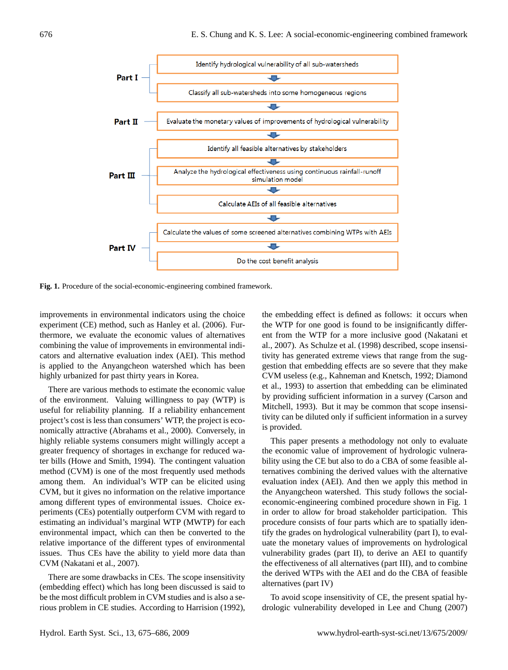

**Fig. 1.** Procedure of the social-economic-engineering combined framework **Fig. 1.** Procedure of the social-economic-engineering combined framework.

improvements in environmental indicators using the choice the embedding e experiment (CE) method, such as Hanley et al. (2006). Furthermore, we evaluate the economic values of alternatives  $\frac{1}{2}$ watersheddellandels combining the value of improvements in environmental indicators and alternative evaluation index (AEI). This method exacts and anti-matrix evaluation muck (AET). This include the avity has generated extreme views that is applied to the Anyangcheon watershed which has been gestion that embedding effects are so several highly urbanized for past thirty years in Korea.

project's cost is less than consumers' WTP, the project is eco-<br>  $\text{t}$ al 2000) nomically attractive (Abrahams et al., 2000). Conversely, in highly reliable systems consumers might willingly accept a greater frequency of shortages in exchange for reduced water bills (Howe and Smith, 1994). The contingent valuation ter bills (Howe and Smith, 1994). The contingent valuation bility using the CE but also to do a CBA of method (CVM) is one of the most frequently used methods ternatives combining the derived values w among them. An individual's WTP can be elicited using evaluation index (AEI). And then we app option, but it gives no information on the relative importance<br>among different types of environmental issues. Choice ex-<br>economic-engineering combined procedure periments (CEs) potentially outperform CVM with regard to in order to al of the environment. Valuing willingness to pay (WTP) is useful for reliability planning. If a reliability enhancement CVM, but it gives no information on the relative importance estimating an individual's marginal WTP (MWTP) for each environmental impact, which can then be converted to the relative importance of the different types of environmental issues. Thus CEs have the ability to yield more data than CVM (Nakatani et al., 2007).

There are some drawbacks in CEs. The scope insensitivity (embedding effect) which has long been discussed is said to be the most difficult problem in CVM studies and is also a serious problem in CE studies. According to Harrision (1992),

ent from the WTP for a more inclusive good (Nakatani et<br>
entable line of a notable 1,000) described a more inclusive zed for past thirty years in Korea. CVM useless (e.g., Kahneman and Knetsch, 1992; Diamond There are various methods to estimate the economic value  $\begin{array}{c} \text{et al., 1993) to assertion that embedding of } \\ \text{the probability coefficient in } \\ \end{array}$ nment. Valuing willingness to pay (WTP) is the Providing sufficient information in a survey (Carson and<br>iability planning. If a reliability enhancement Mitchell, 1993). But it may be common that scope insensithe embedding effect is defined as follows: it occurs when the WTP for one good is found to be insignificantly differal., 2007). As Schulze et al. (1998) described, scope insensitivity has generated extreme views that range from the suggestion that embedding effects are so severe that they make et al., 1993) to assertion that embedding can be eliminated by providing sufficient information in a survey (Carson and tivity can be diluted only if sufficient information in a survey is provided.

> accept a This paper presents a methodology not only to evaluate the economic value of improvement of hydrologic vulnerability using the CE but also to do a CBA of some feasible alternatives combining the derived values with the alternative evaluation index (AEI). And then we apply this method in the Anyangcheon watershed. This study follows the socialeconomic-engineering combined procedure shown in Fig. 1 in order to allow for broad stakeholder participation. This procedure consists of four parts which are to spatially identify the grades on hydrological vulnerability (part I), to evaluate the monetary values of improvements on hydrological vulnerability grades (part II), to derive an AEI to quantify the effectiveness of all alternatives (part III), and to combine the derived WTPs with the AEI and do the CBA of feasible alternatives (part IV)

> > To avoid scope insensitivity of CE, the present spatial hydrologic vulnerability developed in Lee and Chung (2007)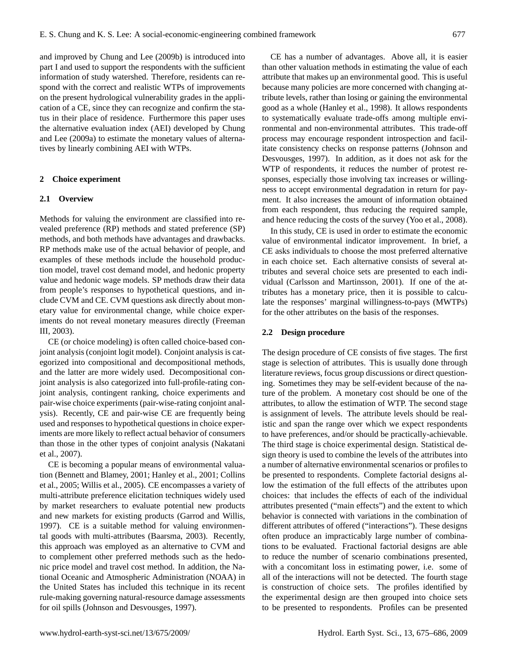and improved by Chung and Lee (2009b) is introduced into part I and used to support the respondents with the sufficient information of study watershed. Therefore, residents can respond with the correct and realistic WTPs of improvements on the present hydrological vulnerability grades in the application of a CE, since they can recognize and confirm the status in their place of residence. Furthermore this paper uses the alternative evaluation index (AEI) developed by Chung and Lee (2009a) to estimate the monetary values of alternatives by linearly combining AEI with WTPs.

#### **2 Choice experiment**

#### **2.1 Overview**

Methods for valuing the environment are classified into revealed preference (RP) methods and stated preference (SP) methods, and both methods have advantages and drawbacks. RP methods make use of the actual behavior of people, and examples of these methods include the household production model, travel cost demand model, and hedonic property value and hedonic wage models. SP methods draw their data from people's responses to hypothetical questions, and include CVM and CE. CVM questions ask directly about monetary value for environmental change, while choice experiments do not reveal monetary measures directly (Freeman III, 2003).

CE (or choice modeling) is often called choice-based conjoint analysis (conjoint logit model). Conjoint analysis is categorized into compositional and decompositional methods, and the latter are more widely used. Decompositional conjoint analysis is also categorized into full-profile-rating conjoint analysis, contingent ranking, choice experiments and pair-wise choice experiments (pair-wise-rating conjoint analysis). Recently, CE and pair-wise CE are frequently being used and responses to hypothetical questions in choice experiments are more likely to reflect actual behavior of consumers than those in the other types of conjoint analysis (Nakatani et al., 2007).

CE is becoming a popular means of environmental valuation (Bennett and Blamey, 2001; Hanley et al., 2001; Collins et al., 2005; Willis et al., 2005). CE encompasses a variety of multi-attribute preference elicitation techniques widely used by market researchers to evaluate potential new products and new markets for existing products (Garrod and Willis, 1997). CE is a suitable method for valuing environmental goods with multi-attributes (Baarsma, 2003). Recently, this approach was employed as an alternative to CVM and to complement other preferred methods such as the hedonic price model and travel cost method. In addition, the National Oceanic and Atmospheric Administration (NOAA) in the United States has included this technique in its recent rule-making governing natural-resource damage assessments for oil spills (Johnson and Desvousges, 1997).

CE has a number of advantages. Above all, it is easier than other valuation methods in estimating the value of each attribute that makes up an environmental good. This is useful because many policies are more concerned with changing attribute levels, rather than losing or gaining the environmental good as a whole (Hanley et al., 1998). It allows respondents to systematically evaluate trade-offs among multiple environmental and non-environmental attributes. This trade-off process may encourage respondent introspection and facilitate consistency checks on response patterns (Johnson and Desvousges, 1997). In addition, as it does not ask for the WTP of respondents, it reduces the number of protest responses, especially those involving tax increases or willingness to accept environmental degradation in return for payment. It also increases the amount of information obtained from each respondent, thus reducing the required sample, and hence reducing the costs of the survey (Yoo et al., 2008).

In this study, CE is used in order to estimate the economic value of environmental indicator improvement. In brief, a CE asks individuals to choose the most preferred alternative in each choice set. Each alternative consists of several attributes and several choice sets are presented to each individual (Carlsson and Martinsson, 2001). If one of the attributes has a monetary price, then it is possible to calculate the responses' marginal willingness-to-pays (MWTPs) for the other attributes on the basis of the responses.

#### **2.2 Design procedure**

The design procedure of CE consists of five stages. The first stage is selection of attributes. This is usually done through literature reviews, focus group discussions or direct questioning. Sometimes they may be self-evident because of the nature of the problem. A monetary cost should be one of the attributes, to allow the estimation of WTP. The second stage is assignment of levels. The attribute levels should be realistic and span the range over which we expect respondents to have preferences, and/or should be practically-achievable. The third stage is choice experimental design. Statistical design theory is used to combine the levels of the attributes into a number of alternative environmental scenarios or profiles to be presented to respondents. Complete factorial designs allow the estimation of the full effects of the attributes upon choices: that includes the effects of each of the individual attributes presented ("main effects") and the extent to which behavior is connected with variations in the combination of different attributes of offered ("interactions"). These designs often produce an impracticably large number of combinations to be evaluated. Fractional factorial designs are able to reduce the number of scenario combinations presented, with a concomitant loss in estimating power, i.e. some of all of the interactions will not be detected. The fourth stage is construction of choice sets. The profiles identified by the experimental design are then grouped into choice sets to be presented to respondents. Profiles can be presented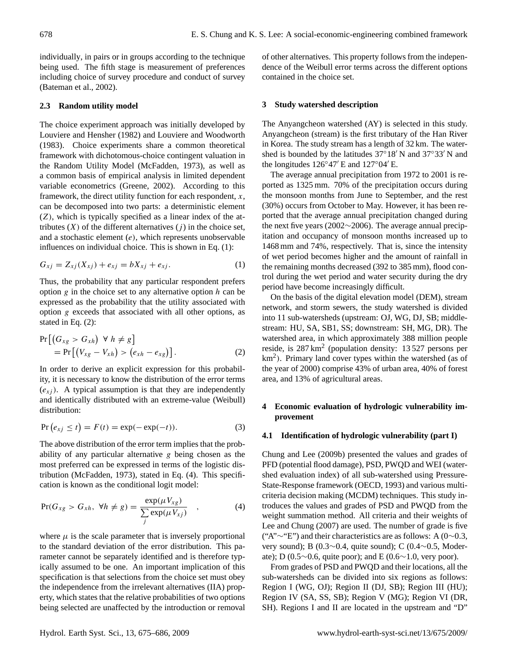individually, in pairs or in groups according to the technique being used. The fifth stage is measurement of preferences including choice of survey procedure and conduct of survey (Bateman et al., 2002).

#### **2.3 Random utility model**

The choice experiment approach was initially developed by Louviere and Hensher (1982) and Louviere and Woodworth (1983). Choice experiments share a common theoretical framework with dichotomous-choice contingent valuation in the Random Utility Model (McFadden, 1973), as well as a common basis of empirical analysis in limited dependent variable econometrics (Greene, 2002). According to this framework, the direct utility function for each respondent,  $x$ , can be decomposed into two parts: a deterministic element  $(Z)$ , which is typically specified as a linear index of the attributes  $(X)$  of the different alternatives  $(j)$  in the choice set, and a stochastic element  $(e)$ , which represents unobservable influences on individual choice. This is shown in Eq. (1):

$$
G_{xj} = Z_{xj}(X_{xj}) + e_{xj} = bX_{xj} + e_{xj}.
$$
 (1)

Thus, the probability that any particular respondent prefers option  $g$  in the choice set to any alternative option  $h$  can be expressed as the probability that the utility associated with option g exceeds that associated with all other options, as stated in Eq. (2):

$$
\Pr\left[\left(G_{xg} > G_{xh}\right) \ \forall \ h \neq g\right] \\
= \Pr\left[\left(V_{xg} - V_{xh}\right) > \left(e_{xh} - e_{xg}\right)\right].\n\tag{2}
$$

In order to derive an explicit expression for this probability, it is necessary to know the distribution of the error terms  $(e_{xi})$ . A typical assumption is that they are independently and identically distributed with an extreme-value (Weibull) distribution:

$$
Pr(e_{xj} \le t) = F(t) = \exp(-\exp(-t)).
$$
 (3)

The above distribution of the error term implies that the probability of any particular alternative g being chosen as the most preferred can be expressed in terms of the logistic distribution (McFadden, 1973), stated in Eq. (4). This specification is known as the conditional logit model:

$$
Pr(G_{xg} > G_{xh}, \ \forall h \neq g) = \frac{\exp(\mu V_{xg})}{\sum_{j} \exp(\mu V_{xj})} \quad , \tag{4}
$$

where  $\mu$  is the scale parameter that is inversely proportional to the standard deviation of the error distribution. This parameter cannot be separately identified and is therefore typically assumed to be one. An important implication of this specification is that selections from the choice set must obey the independence from the irrelevant alternatives (IIA) property, which states that the relative probabilities of two options being selected are unaffected by the introduction or removal of other alternatives. This property follows from the independence of the Weibull error terms across the different options contained in the choice set.

#### **3 Study watershed description**

The Anyangcheon watershed (AY) is selected in this study. Anyangcheon (stream) is the first tributary of the Han River in Korea. The study stream has a length of 32 km. The watershed is bounded by the latitudes  $37°18'$  N and  $37°33'$  N and the longitudes  $126°47′$  E and  $127°04′$  E.

The average annual precipitation from 1972 to 2001 is reported as 1325 mm. 70% of the precipitation occurs during the monsoon months from June to September, and the rest (30%) occurs from October to May. However, it has been reported that the average annual precipitation changed during the next five years (2002∼2006). The average annual precipitation and occupancy of monsoon months increased up to 1468 mm and 74%, respectively. That is, since the intensity of wet period becomes higher and the amount of rainfall in the remaining months decreased (392 to 385 mm), flood control during the wet period and water security during the dry period have become increasingly difficult.

On the basis of the digital elevation model (DEM), stream network, and storm sewers, the study watershed is divided into 11 sub-watersheds (upstream: OJ, WG, DJ, SB; middlestream: HU, SA, SB1, SS; downstream: SH, MG, DR). The watershed area, in which approximately 388 million people reside, is 287 km<sup>2</sup> (population density: 13 527 persons per km<sup>2</sup> ). Primary land cover types within the watershed (as of the year of 2000) comprise 43% of urban area, 40% of forest area, and 13% of agricultural areas.

## **4 Economic evaluation of hydrologic vulnerability improvement**

#### **4.1 Identification of hydrologic vulnerability (part I)**

Chung and Lee (2009b) presented the values and grades of PFD (potential flood damage), PSD, PWQD and WEI (watershed evaluation index) of all sub-watershed using Pressure-State-Response framework (OECD, 1993) and various multicriteria decision making (MCDM) techniques. This study introduces the values and grades of PSD and PWQD from the weight summation method. All criteria and their weights of Lee and Chung (2007) are used. The number of grade is five ("A"∼"E") and their characteristics are as follows: A (0∼0.3, very sound); B (0.3∼0.4, quite sound); C (0.4∼0.5, Moderate); D (0.5∼0.6, quite poor); and E (0.6∼1.0, very poor).

From grades of PSD and PWQD and their locations, all the sub-watersheds can be divided into six regions as follows: Region I (WG, OJ); Region II (DJ, SB); Region III (HU); Region IV (SA, SS, SB); Region V (MG); Region VI (DR, SH). Regions I and II are located in the upstream and "D"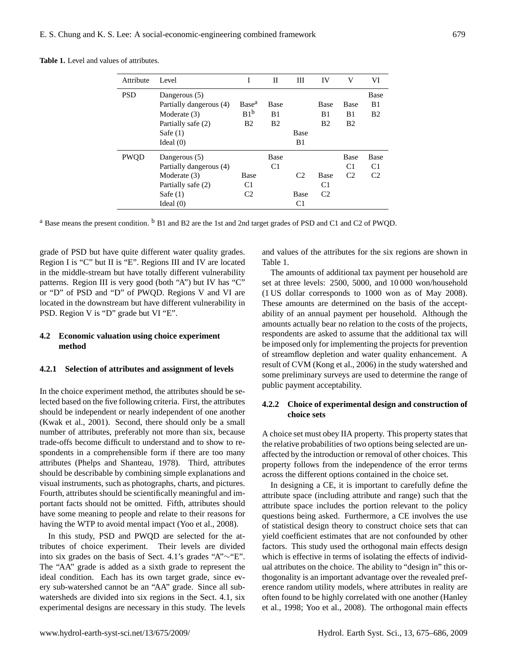| Attribute   | Level                   | Ī                 | Н              | Ш              | IV             | V              | VI             |
|-------------|-------------------------|-------------------|----------------|----------------|----------------|----------------|----------------|
| <b>PSD</b>  | Dangerous (5)           |                   |                |                |                |                | Base           |
|             | Partially dangerous (4) | Base <sup>a</sup> | <b>Base</b>    |                | <b>Base</b>    | Base           | B1             |
|             | Moderate (3)            | $B1^b$            | B <sub>1</sub> |                | B1             | B <sub>1</sub> | B <sub>2</sub> |
|             | Partially safe (2)      | B <sub>2</sub>    | <b>B2</b>      |                | B <sub>2</sub> | B <sub>2</sub> |                |
|             | Safe $(1)$              |                   |                | Base           |                |                |                |
|             | Ideal $(0)$             |                   |                | B1             |                |                |                |
| <b>PWQD</b> | Dangerous (5)           |                   | <b>Base</b>    |                |                | Base           | <b>Base</b>    |
|             | Partially dangerous (4) |                   | C <sub>1</sub> |                |                | C <sub>1</sub> | C <sub>1</sub> |
|             | Moderate (3)            | Base              |                | C <sub>2</sub> | <b>Base</b>    | C <sub>2</sub> | C <sub>2</sub> |
|             | Partially safe (2)      | C <sub>1</sub>    |                |                | C <sub>1</sub> |                |                |
|             | Safe $(1)$              | C <sub>2</sub>    |                | <b>Base</b>    | C <sub>2</sub> |                |                |
|             | Ideal $(0)$             |                   |                | C1             |                |                |                |

**Table 1.** Level and values of attributes.

<sup>a</sup> Base means the present condition. <sup>b</sup> B1 and B2 are the 1st and 2nd target grades of PSD and C1 and C2 of PWQD.

grade of PSD but have quite different water quality grades. Region I is "C" but II is "E". Regions III and IV are located in the middle-stream but have totally different vulnerability patterns. Region III is very good (both "A") but IV has "C" or "D" of PSD and "D" of PWQD. Regions V and VI are located in the downstream but have different vulnerability in PSD. Region V is "D" grade but VI "E".

### **4.2 Economic valuation using choice experiment method**

#### **4.2.1 Selection of attributes and assignment of levels**

In the choice experiment method, the attributes should be selected based on the five following criteria. First, the attributes should be independent or nearly independent of one another (Kwak et al., 2001). Second, there should only be a small number of attributes, preferably not more than six, because trade-offs become difficult to understand and to show to respondents in a comprehensible form if there are too many attributes (Phelps and Shanteau, 1978). Third, attributes should be describable by combining simple explanations and visual instruments, such as photographs, charts, and pictures. Fourth, attributes should be scientifically meaningful and important facts should not be omitted. Fifth, attributes should have some meaning to people and relate to their reasons for having the WTP to avoid mental impact (Yoo et al., 2008).

In this study, PSD and PWQD are selected for the attributes of choice experiment. Their levels are divided into six grades on the basis of Sect. 4.1's grades "A"∼"E". The "AA" grade is added as a sixth grade to represent the ideal condition. Each has its own target grade, since every sub-watershed cannot be an "AA" grade. Since all subwatersheds are divided into six regions in the Sect. 4.1, six experimental designs are necessary in this study. The levels and values of the attributes for the six regions are shown in Table 1.

The amounts of additional tax payment per household are set at three levels: 2500, 5000, and 10 000 won/household (1 US dollar corresponds to 1000 won as of May 2008). These amounts are determined on the basis of the acceptability of an annual payment per household. Although the amounts actually bear no relation to the costs of the projects, respondents are asked to assume that the additional tax will be imposed only for implementing the projects for prevention of streamflow depletion and water quality enhancement. A result of CVM (Kong et al., 2006) in the study watershed and some preliminary surveys are used to determine the range of public payment acceptability.

## **4.2.2 Choice of experimental design and construction of choice sets**

A choice set must obey IIA property. This property states that the relative probabilities of two options being selected are unaffected by the introduction or removal of other choices. This property follows from the independence of the error terms across the different options contained in the choice set.

In designing a CE, it is important to carefully define the attribute space (including attribute and range) such that the attribute space includes the portion relevant to the policy questions being asked. Furthermore, a CE involves the use of statistical design theory to construct choice sets that can yield coefficient estimates that are not confounded by other factors. This study used the orthogonal main effects design which is effective in terms of isolating the effects of individual attributes on the choice. The ability to "design in" this orthogonality is an important advantage over the revealed preference random utility models, where attributes in reality are often found to be highly correlated with one another (Hanley et al., 1998; Yoo et al., 2008). The orthogonal main effects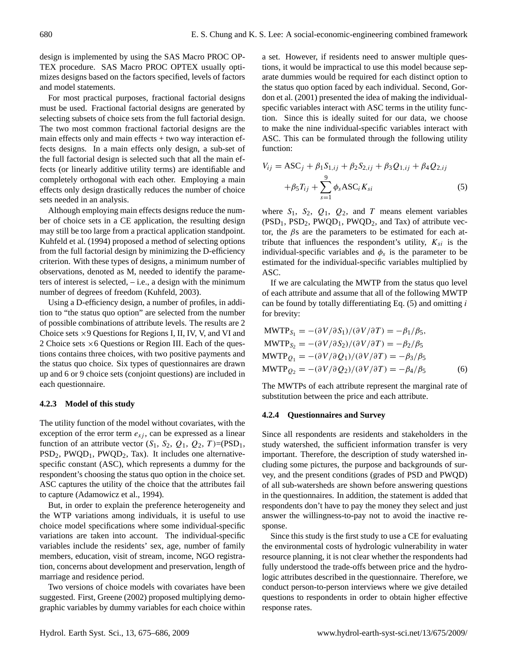design is implemented by using the SAS Macro PROC OP-TEX procedure. SAS Macro PROC OPTEX usually optimizes designs based on the factors specified, levels of factors and model statements.

For most practical purposes, fractional factorial designs must be used. Fractional factorial designs are generated by selecting subsets of choice sets from the full factorial design. The two most common fractional factorial designs are the main effects only and main effects  $+$  two way interaction effects designs. In a main effects only design, a sub-set of the full factorial design is selected such that all the main effects (or linearly additive utility terms) are identifiable and completely orthogonal with each other. Employing a main effects only design drastically reduces the number of choice sets needed in an analysis.

Although employing main effects designs reduce the number of choice sets in a CE application, the resulting design may still be too large from a practical application standpoint. Kuhfeld et al. (1994) proposed a method of selecting options from the full factorial design by minimizing the D-efficiency criterion. With these types of designs, a minimum number of observations, denoted as M, needed to identify the parameters of interest is selected,  $-$  i.e., a design with the minimum number of degrees of freedom (Kuhfeld, 2003).

Using a D-efficiency design, a number of profiles, in addition to "the status quo option" are selected from the number of possible combinations of attribute levels. The results are 2 Choice sets  $\times$ 9 Questions for Regions I, II, IV, V, and VI and 2 Choice sets  $\times$  6 Questions or Region III. Each of the questions contains three choices, with two positive payments and the status quo choice. Six types of questionnaires are drawn up and 6 or 9 choice sets (conjoint questions) are included in each questionnaire.

#### **4.2.3 Model of this study**

The utility function of the model without covariates, with the exception of the error term  $e_{xj}$ , can be expressed as a linear function of an attribute vector  $(S_1, S_2, Q_1, Q_2, T) = (PSD_1,$  $PSD_2$ ,  $PWQD_1$ ,  $PWQD_2$ , Tax). It includes one alternativespecific constant (ASC), which represents a dummy for the respondent's choosing the status quo option in the choice set. ASC captures the utility of the choice that the attributes fail to capture (Adamowicz et al., 1994).

But, in order to explain the preference heterogeneity and the WTP variations among individuals, it is useful to use choice model specifications where some individual-specific variations are taken into account. The individual-specific variables include the residents' sex, age, number of family members, education, visit of stream, income, NGO registration, concerns about development and preservation, length of marriage and residence period.

Two versions of choice models with covariates have been suggested. First, Greene (2002) proposed multiplying demographic variables by dummy variables for each choice within a set. However, if residents need to answer multiple questions, it would be impractical to use this model because separate dummies would be required for each distinct option to the status quo option faced by each individual. Second, Gordon et al. (2001) presented the idea of making the individualspecific variables interact with ASC terms in the utility function. Since this is ideally suited for our data, we choose to make the nine individual-specific variables interact with ASC. This can be formulated through the following utility function:

$$
V_{ij} = \text{ASC}_j + \beta_1 S_{1,ij} + \beta_2 S_{2,ij} + \beta_3 Q_{1,ij} + \beta_4 Q_{2,ij} + \beta_5 T_{ij} + \sum_{s=1}^{9} \phi_s \text{ASC}_i K_{si}
$$
 (5)

where  $S_1$ ,  $S_2$ ,  $Q_1$ ,  $Q_2$ , and T means element variables  $(PSD_1, PSD_2, PWQD_1, PWQD_2, and Tax)$  of attribute vector, the  $\beta$ s are the parameters to be estimated for each attribute that influences the respondent's utility,  $K_{si}$  is the individual-specific variables and  $\phi_s$  is the parameter to be estimated for the individual-specific variables multiplied by ASC.

If we are calculating the MWTP from the status quo level of each attribute and assume that all of the following MWTP can be found by totally differentiating Eq.  $(5)$  and omitting i for brevity:

$$
\text{MWTP}_{S_1} = -(\partial V/\partial S_1)/(\partial V/\partial T) = -\beta_1/\beta_5,
$$
\n
$$
\text{MWTP}_{S_2} = -(\partial V/\partial S_2)/(\partial V/\partial T) = -\beta_2/\beta_5
$$
\n
$$
\text{MWTP}_{Q_1} = -(\partial V/\partial Q_1)/(\partial V/\partial T) = -\beta_3/\beta_5
$$
\n
$$
\text{MWTP}_{Q_2} = -(\partial V/\partial Q_2)/(\partial V/\partial T) = -\beta_4/\beta_5
$$
\n(6)

The MWTPs of each attribute represent the marginal rate of substitution between the price and each attribute.

#### **4.2.4 Questionnaires and Survey**

Since all respondents are residents and stakeholders in the study watershed, the sufficient information transfer is very important. Therefore, the description of study watershed including some pictures, the purpose and backgrounds of survey, and the present conditions (grades of PSD and PWQD) of all sub-watersheds are shown before answering questions in the questionnaires. In addition, the statement is added that respondents don't have to pay the money they select and just answer the willingness-to-pay not to avoid the inactive response.

Since this study is the first study to use a CE for evaluating the environmental costs of hydrologic vulnerability in water resource planning, it is not clear whether the respondents had fully understood the trade-offs between price and the hydrologic attributes described in the questionnaire. Therefore, we conduct person-to-person interviews where we give detailed questions to respondents in order to obtain higher effective response rates.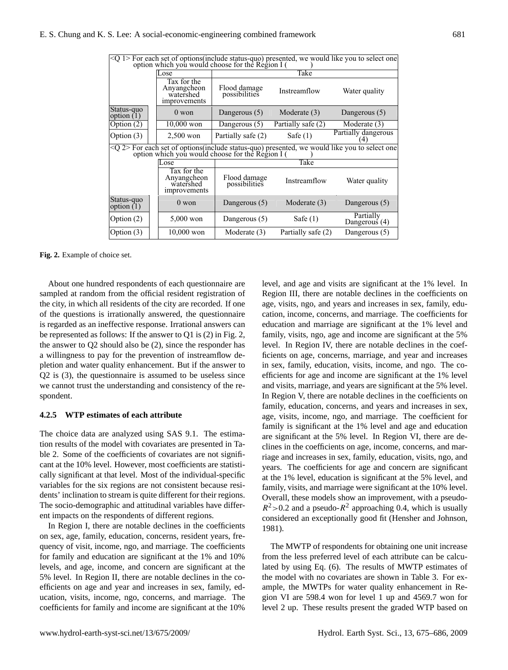| $Q \geq$                   |                                                         |                               |                      | For each set of options (include status-quo) presented, we would like you to select one option which you would choose for the Region $I($                       |  |  |  |  |
|----------------------------|---------------------------------------------------------|-------------------------------|----------------------|-----------------------------------------------------------------------------------------------------------------------------------------------------------------|--|--|--|--|
|                            | Lose                                                    |                               | Take                 |                                                                                                                                                                 |  |  |  |  |
|                            | Tax for the<br>Anyangcheon<br>watershed<br>improvements | Flood damage<br>possibilities | Instreamflow         | Water quality                                                                                                                                                   |  |  |  |  |
| Status-quo<br>option $(1)$ | $0$ won                                                 | Dangerous $(5)$               | Moderate $(3)$       | Dangerous (5)                                                                                                                                                   |  |  |  |  |
| Option $(2)$               | $10,000$ won                                            | Dangerous (5)                 | Partially safe $(2)$ | Moderate (3)                                                                                                                                                    |  |  |  |  |
| Option (3)                 | $2,500$ won                                             | Partially safe (2)            | Safe $(1)$           | Partially dangerous                                                                                                                                             |  |  |  |  |
|                            |                                                         |                               |                      | $\langle Q \rangle$ 2> For each set of options (include status-quo) presented, we would like you to select one option which you would choose for the Region I ( |  |  |  |  |
|                            | Lose                                                    |                               | Take                 |                                                                                                                                                                 |  |  |  |  |
|                            | Tax for the<br>Anyangcheon<br>watershed<br>improvements | Flood damage<br>possibilities | Instreamflow         | Water quality                                                                                                                                                   |  |  |  |  |
| Status-quo<br>option $(1)$ | $0$ won                                                 | Dangerous (5)                 | Moderate $(3)$       | Dangerous (5)                                                                                                                                                   |  |  |  |  |
| Option (2)                 | 5,000 won                                               | Dangerous (5)                 | Safe $(1)$           | Partially<br>Dangerous (4)                                                                                                                                      |  |  |  |  |
| Option (3)                 | $10,000$ won                                            | Moderate (3)                  | Partially safe (2)   | Dangerous (5)                                                                                                                                                   |  |  |  |  |

**Fig. 2.** Example of choice set.

About one hundred respondents of each questionnaire are sampled at random from the official resident registration of the city, in which all residents of the city are recorded. If one of the questions is irrationally answered, the questionnaire is regarded as an ineffective response. Irrational answers can be represented as follows: If the answer to Q1 is (2) in Fig. 2, the answer to Q2 should also be (2), since the responder has a willingness to pay for the prevention of instreamflow depletion and water quality enhancement. But if the answer to Q2 is (3), the questionnaire is assumed to be useless since we cannot trust the understanding and consistency of the respondent.

#### **4.2.5 WTP estimates of each attribute**

The choice data are analyzed using SAS 9.1. The estimation results of the model with covariates are presented in Table 2. Some of the coefficients of covariates are not significant at the 10% level. However, most coefficients are statistically significant at that level. Most of the individual-specific variables for the six regions are not consistent because residents' inclination to stream is quite different for their regions. The socio-demographic and attitudinal variables have different impacts on the respondents of different regions.

In Region I, there are notable declines in the coefficients on sex, age, family, education, concerns, resident years, frequency of visit, income, ngo, and marriage. The coefficients for family and education are significant at the 1% and 10% levels, and age, income, and concern are significant at the 5% level. In Region II, there are notable declines in the coefficients on age and year and increases in sex, family, education, visits, income, ngo, concerns, and marriage. The coefficients for family and income are significant at the 10%

level, and age and visits are significant at the 1% level. In Region III, there are notable declines in the coefficients on age, visits, ngo, and years and increases in sex, family, education, income, concerns, and marriage. The coefficients for education and marriage are significant at the 1% level and family, visits, ngo, age and income are significant at the 5% level. In Region IV, there are notable declines in the coefficients on age, concerns, marriage, and year and increases in sex, family, education, visits, income, and ngo. The coefficients for age and income are significant at the 1% level and visits, marriage, and years are significant at the 5% level. In Region V, there are notable declines in the coefficients on family, education, concerns, and years and increases in sex, age, visits, income, ngo, and marriage. The coefficient for family is significant at the 1% level and age and education are significant at the 5% level. In Region VI, there are declines in the coefficients on age, income, concerns, and marriage and increases in sex, family, education, visits, ngo, and years. The coefficients for age and concern are significant at the 1% level, education is significant at the 5% level, and family, visits, and marriage were significant at the 10% level. Overall, these models show an improvement, with a pseudo- $R^2$  > 0.2 and a pseudo- $R^2$  approaching 0.4, which is usually considered an exceptionally good fit (Hensher and Johnson, 1981).

The MWTP of respondents for obtaining one unit increase from the less preferred level of each attribute can be calculated by using Eq. (6). The results of MWTP estimates of the model with no covariates are shown in Table 3. For example, the MWTPs for water quality enhancement in Region VI are 598.4 won for level 1 up and 4569.7 won for level 2 up. These results present the graded WTP based on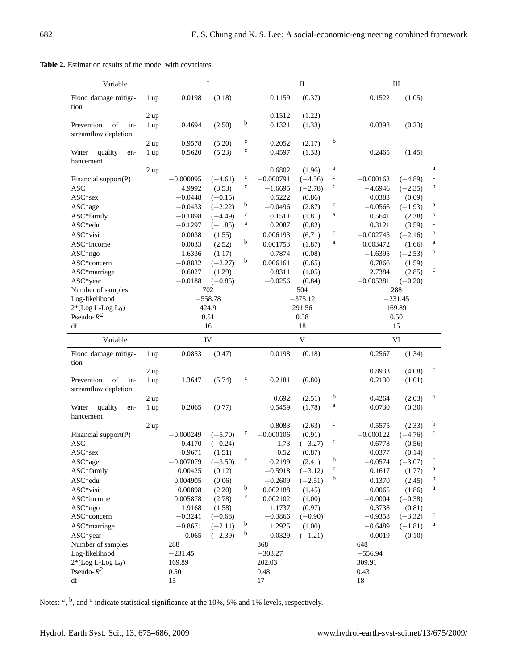| <b>Table 2.</b> Estimation results of the model with covariates. |  |  |  |
|------------------------------------------------------------------|--|--|--|
|------------------------------------------------------------------|--|--|--|

| Variable                            |                         |                     | Ι.                  |             |                     | П                   |             |                     | Ш                   |             |
|-------------------------------------|-------------------------|---------------------|---------------------|-------------|---------------------|---------------------|-------------|---------------------|---------------------|-------------|
| Flood damage mitiga-                | $1 \text{ up}$          | 0.0198              | (0.18)              |             | 0.1159              | (0.37)              |             | 0.1522              | (1.05)              |             |
| tion                                |                         |                     |                     |             | 0.1512              |                     |             |                     |                     |             |
| Prevention<br>of<br>in-             | 2 up<br>1 <sub>up</sub> | 0.4694              | (2.50)              | b           | 0.1321              | (1.22)<br>(1.33)    |             | 0.0398              | (0.23)              |             |
| streamflow depletion                |                         |                     |                     |             |                     |                     |             |                     |                     |             |
|                                     | 2 up                    | 0.9578              | (5.20)              | $\mathbf c$ | 0.2052              | (2.17)              | b           |                     |                     |             |
| quality<br>Water<br>en-             | 1 <sub>up</sub>         | 0.5620              | (5.23)              | $\mathbf c$ | 0.4597              | (1.33)              |             | 0.2465              | (1.45)              |             |
| hancement                           |                         |                     |                     |             |                     |                     | a           |                     |                     | a           |
|                                     | 2 up                    |                     |                     | $\mathbf c$ | 0.6802              | (1.96)              | $\mathbf c$ |                     |                     | $\mathbf c$ |
| Financial support(P)                |                         | $-0.000095$         | $(-4.61)$           | $\mathbf c$ | $-0.000791$         | $(-4.56)$           | $\mathbf c$ | $-0.000163$         | $(-4.89)$           | b           |
| ASC<br>ASC*sex                      |                         | 4.9992<br>$-0.0448$ | (3.53)<br>$(-0.15)$ |             | $-1.6695$<br>0.5222 | $(-2.78)$<br>(0.86) |             | $-4.6946$<br>0.0383 | $(-2.35)$<br>(0.09) |             |
| $ASC*age$                           |                         | $-0.0433$           | $(-2.22)$           | b           | $-0.0496$           | (2.87)              | $\mathbf c$ | $-0.0566$           | $(-1.93)$           | a           |
| ASC*family                          |                         | $-0.1898$           | $(-4.49)$           | $\mathbf c$ | 0.1511              | (1.81)              | a           | 0.5641              | (2.38)              | b           |
| ASC*edu                             |                         | $-0.1297$           | $(-1.85)$           | a           | 0.2087              | (0.82)              |             | 0.3121              | (3.59)              | $\mathbf c$ |
| $ASC$ *visit                        |                         | 0.0038              | (1.55)              |             | 0.006193            | (6.71)              | $\mathbf c$ | $-0.002745$         | $(-2.16)$           | b           |
| ASC*income                          |                         | 0.0033              | (2.52)              | b           | 0.001753            | (1.87)              | a           | 0.003472            | (1.66)              | a           |
| $ASC*ngo$                           |                         | 1.6336              | (1.17)              |             | 0.7874              | (0.08)              |             | $-1.6395$           | $(-2.53)$           | b           |
| ASC*concern                         |                         | $-0.8832$           | $(-2.27)$           | b           | 0.006161            | (0.65)              |             | 0.7866              | (1.59)              |             |
| ASC*marriage                        |                         | 0.6027              | (1.29)              |             | 0.8311              | (1.05)              |             | 2.7384              | (2.85)              | $\mathbf c$ |
| $ASC*year$                          |                         | $-0.0188$           | $(-0.85)$           |             | $-0.0256$           | (0.84)              |             | $-0.005381$         | $(-0.20)$           |             |
| Number of samples                   |                         |                     | 702                 |             |                     | 504                 |             |                     | 288                 |             |
| Log-likelihood                      |                         |                     | $-558.78$           |             |                     | $-375.12$           |             |                     | $-231.45$           |             |
| $2*(Log L-Log L_0)$                 |                         |                     | 424.9               |             |                     | 291.56              |             |                     | 169.89              |             |
| Pseudo- $R^2$                       |                         |                     | 0.51                |             |                     | 0.38                |             |                     | 0.50                |             |
| df                                  |                         |                     | 16                  |             |                     | 18                  |             |                     | 15                  |             |
|                                     |                         |                     |                     |             |                     |                     |             |                     |                     |             |
| Variable                            |                         |                     | IV                  |             |                     | $\mathbf{V}$        |             |                     | VI                  |             |
| Flood damage mitiga-                | $1 \text{ up}$          | 0.0853              | (0.47)              |             | 0.0198              | (0.18)              |             | 0.2567              | (1.34)              |             |
| tion                                |                         |                     |                     |             |                     |                     |             |                     |                     | $\mathbf c$ |
| of<br>in-                           | 2 up                    |                     |                     | $\mathbf c$ |                     |                     |             | 0.8933              | (4.08)              |             |
| Prevention<br>streamflow depletion  | 1 <sub>up</sub>         | 1.3647              | (5.74)              |             | 0.2181              | (0.80)              |             | 0.2130              | (1.01)              |             |
|                                     | 2 up                    |                     |                     |             | 0.692               | (2.51)              | b           | 0.4264              | (2.03)              | b           |
| Water<br>quality<br>en-             | 1 <sub>up</sub>         | 0.2065              | (0.77)              |             | 0.5459              | (1.78)              | a           | 0.0730              | (0.30)              |             |
| hancement                           | 2 up                    |                     |                     |             | 0.8083              | (2.63)              | $\mathbf c$ | 0.5575              | (2.33)              | b           |
| Financial support(P)                |                         | $-0.000249$         | $(-5.70)$           | $\mathbf c$ | $-0.000106$         | (0.91)              |             | $-0.000122$         | $(-4.76)$           | $\mathbf c$ |
| <b>ASC</b>                          |                         | $-0.4170$           | $(-0.24)$           |             | 1.73                | $(-3.27)$           | $\mathbf c$ | 0.6778              | (0.56)              |             |
| ASC*sex                             |                         | 0.9671              | (1.51)              |             | 0.52                | (0.87)              |             | 0.0377              | (0.14)              |             |
| $ASC*age$                           |                         | $-0.007079$         | $(-3.50)$           |             | 0.2199              | (2.41)              |             | $-0.0574$           | $(-3.07)$           |             |
| ASC*family                          |                         | 0.00425             | (0.12)              |             | $-0.5918$           | $(-3.12)$           | $\mathbf c$ | 0.1617              | (1.77)              | a           |
| $ASC*edu$                           |                         | 0.004905            | (0.06)              |             | $-0.2609$           | $(-2.51)$           | b           | 0.1370              | (2.45)              | b           |
| ASC*visit                           |                         | 0.00898             | (2.20)              | b           | 0.002188            | (1.45)              |             | 0.0065              | (1.86)              | a           |
| ASC*income                          |                         | 0.005878            | (2.78)              | $\mathbf c$ | 0.002102            | (1.00)              |             | $-0.0004$           | $(-0.38)$           |             |
| $ASC*ngo$                           |                         | 1.9168              | (1.58)              |             | 1.1737              | (0.97)              |             | 0.3738              | (0.81)              | c           |
| ASC*concern                         |                         | $-0.3241$           | $(-0.68)$           | b           | $-0.3866$           | $(-0.90)$           |             | $-0.9358$           | $(-3.32)$           | a           |
| ASC*marriage                        |                         | $-0.8671$           | $(-2.11)$           | b           | 1.2925              | (1.00)              |             | $-0.6489$           | $(-1.81)$           |             |
| ASC*year                            |                         | $-0.065$<br>288     | $(-2.39)$           |             | $-0.0329$<br>368    | $(-1.21)$           |             | 0.0019<br>648       | (0.10)              |             |
| Number of samples<br>Log-likelihood |                         | $-231.45$           |                     |             | $-303.27$           |                     |             | $-556.94$           |                     |             |
| $2*(Log L-Log L0)$                  |                         | 169.89              |                     |             | 202.03              |                     |             | 309.91              |                     |             |
| Pseudo- $R^2$<br>df                 |                         | 0.50<br>15          |                     |             | $0.48\,$<br>17      |                     |             | 0.43<br>18          |                     |             |

Notes:  $a$ ,  $b$ , and  $c$  indicate statistical significance at the 10%, 5% and 1% levels, respectively.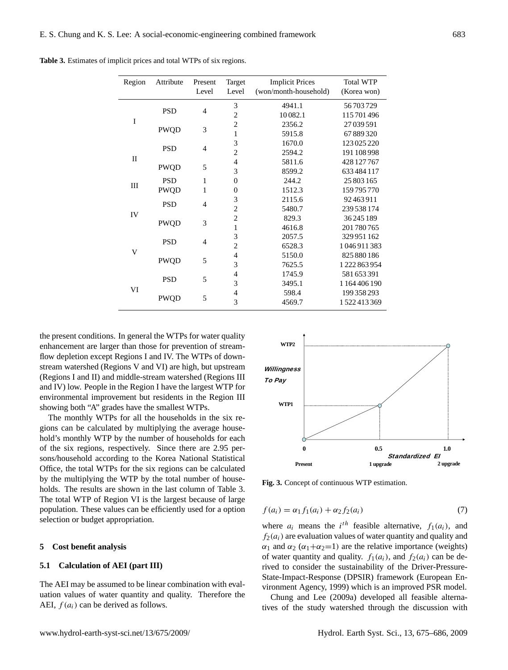**Table 3.** Estimates of implicit prices and total WTPs of six regions.

| Region       | Attribute   | Present<br>Level | Target<br>Level  | <b>Implicit Prices</b><br>(won/month-household) | <b>Total WTP</b><br>(Korea won) |
|--------------|-------------|------------------|------------------|-------------------------------------------------|---------------------------------|
|              |             |                  | 3                | 4941.1                                          | 56703729                        |
|              | <b>PSD</b>  | $\overline{4}$   | $\overline{2}$   | 10082.1                                         | 115701496                       |
| I            |             |                  | $\overline{2}$   | 2356.2                                          | 27 039 591                      |
|              | <b>PWQD</b> | 3                | $\mathbf{1}$     | 5915.8                                          | 67889320                        |
|              |             | $\overline{4}$   | 3                | 1670.0                                          | 123 025 220                     |
|              | <b>PSD</b>  |                  | $\overline{c}$   | 2594.2                                          | 191 108 998                     |
| $\mathbf{I}$ |             | 5                | 4                | 5811.6                                          | 428 127 767                     |
|              | <b>PWQD</b> |                  | 3                | 8599.2                                          | 633484117                       |
| III          | <b>PSD</b>  | 1                | $\overline{0}$   | 244.2                                           | 25 803 165                      |
|              | <b>PWQD</b> | 1                | $\boldsymbol{0}$ | 1512.3                                          | 159 795 770                     |
|              | <b>PSD</b>  | $\overline{4}$   | 3                | 2115.6                                          | 92463911                        |
|              |             |                  | $\overline{c}$   | 5480.7                                          | 239 538 174                     |
| IV           |             | 3                | $\overline{c}$   | 829.3                                           | 36 245 189                      |
|              | <b>PWQD</b> |                  | 1                | 4616.8                                          | 201 780 765                     |
|              | <b>PSD</b>  | $\overline{4}$   | 3                | 2057.5                                          | 329 951 162                     |
|              |             |                  | $\overline{c}$   | 6528.3                                          | 1046911383                      |
| V            |             |                  | $\overline{4}$   | 5150.0                                          | 825 880 186                     |
|              | <b>PWQD</b> | 5                | 3                | 7625.5                                          | 1222863954                      |
|              |             | 5                | $\overline{4}$   | 1745.9                                          | 581 653 391                     |
|              | <b>PSD</b>  |                  | 3                | 3495.1                                          | 1 164 406 190                   |
| VI           |             |                  | $\overline{4}$   | 598.4                                           | 199 358 293                     |
|              | <b>PWQD</b> | 5                | 3                | 4569.7                                          | 1522413369                      |

the present conditions. In general the WTPs for water quality enhancement are larger than those for prevention of streamflow depletion except Regions I and IV. The WTPs of downstream watershed (Regions V and VI) are high, but upstream (Regions I and II) and middle-stream watershed (Regions III and IV) low. People in the Region I have the largest WTP for environmental improvement but residents in the Region III showing both "A" grades have the smallest WTPs.

The monthly WTPs for all the households in the six regions can be calculated by multiplying the average household's monthly WTP by the number of households for each of the six regions, respectively. Since there are 2.95 persons/household according to the Korea National Statistical Office, the total WTPs for the six regions can be calculated by the multiplying the WTP by the total number of households. The results are shown in the last column of Table 3. The total WTP of Region VI is the largest because of large population. These values can be efficiently used for a option selection or budget appropriation.  $\alpha$  and  $\alpha$  is a III  $\alpha$  is a III  $\alpha$  is a III  $\alpha$  is a III  $\alpha$  is a III  $\alpha$ 

#### **5 Cost benefit analysis**

#### **5.1 Calculation of AEI (part III)**

The AEI may be assumed to be linear combination with eval-The AET may be assumed to be fined combination with eva-<br>uation values of water quantity and quality. Therefore the AEI,  $f(a_i)$  can be derived as follows.



**Fig. 3.** Concept of continuous WTP estimation.

$$
f(a_i) = \alpha_1 f_1(a_i) + \alpha_2 f_2(a_i)
$$
 (7)

where  $a_i$  means the  $i^{th}$  feasible alternative,  $f_1(a_i)$ , and  $\sum_{i=1}^{\infty} a_i$  $J_2(a_i)$  are eval  $\alpha_1$  and  $\alpha_2$  ( $\alpha_1+\alpha_2=1$ ) are the relative importance (weights) of water quantity and quality.  $f_1(a_i)$ , and  $f_2(a_i)$  can be de- $\frac{1}{1}$  $\mathbf{v}$ a  $\frac{1}{2}$ wai  $\frac{u_1}{\cdot}$  $f_2(a_i)$  are evaluation values of water quantity and quality and rived to consider the sustainability of the Driver-Pressure-State-Impact-Response (DPSIR) framework (European Environment Agency, 1999) which is an improved PSR model.

 $\frac{1}{2}$  $\mathcal{L}$ nung tives of the study watershed through the discussion with  $\sim$  $200\%$  developed all  $\alpha$  $\frac{1}{1}$ Chung and Lee (2009a) developed all feasible alterna-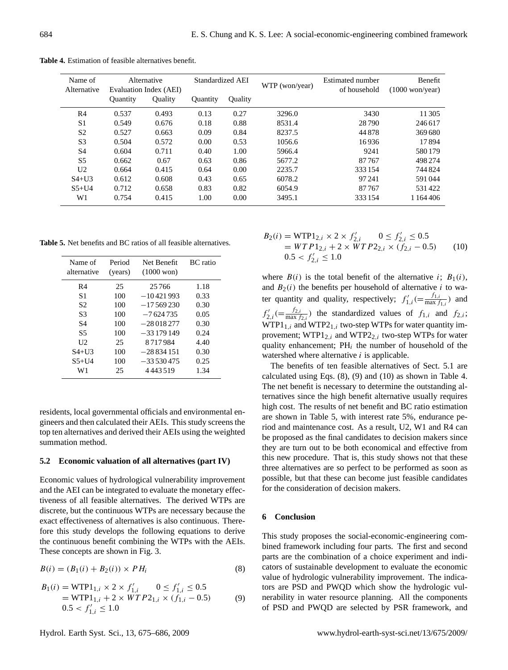| Name of<br>Alternative |                 | Alternative<br>Evaluation Index (AEI) | Standardized AEI |         | WTP (won/year) | Estimated number<br>of household | <b>Benefit</b><br>$(1000 \text{ won/year})$ |
|------------------------|-----------------|---------------------------------------|------------------|---------|----------------|----------------------------------|---------------------------------------------|
|                        | <b>Quantity</b> | Ouality                               | <b>Quantity</b>  | Quality |                |                                  |                                             |
| R <sub>4</sub>         | 0.537           | 0.493                                 | 0.13             | 0.27    | 3296.0         | 3430                             | 11305                                       |
| S <sub>1</sub>         | 0.549           | 0.676                                 | 0.18             | 0.88    | 8531.4         | 28 7 9 0                         | 246617                                      |
| S <sub>2</sub>         | 0.527           | 0.663                                 | 0.09             | 0.84    | 8237.5         | 44878                            | 369 680                                     |
| S <sub>3</sub>         | 0.504           | 0.572                                 | 0.00             | 0.53    | 1056.6         | 16936                            | 17894                                       |
| S <sub>4</sub>         | 0.604           | 0.711                                 | 0.40             | 1.00    | 5966.4         | 9241                             | 580179                                      |
| S <sub>5</sub>         | 0.662           | 0.67                                  | 0.63             | 0.86    | 5677.2         | 87767                            | 498 274                                     |
| U <sub>2</sub>         | 0.664           | 0.415                                 | 0.64             | 0.00    | 2235.7         | 333 154                          | 744824                                      |
| $S4+U3$                | 0.612           | 0.608                                 | 0.43             | 0.65    | 6078.2         | 97 241                           | 591044                                      |
| $S5+U4$                | 0.712           | 0.658                                 | 0.83             | 0.82    | 6054.9         | 87767                            | 531422                                      |
| W1                     | 0.754           | 0.415                                 | 1.00             | 0.00    | 3495.1         | 333 154                          | 1164406                                     |

**Table 4.** Estimation of feasible alternatives benefit.

**Table 5.** Net benefits and BC ratios of all feasible alternatives.

| Name of<br>alternative | Period<br>(years) | Net Benefit<br>$(1000 \text{ won})$ | <b>BC</b> ratio |
|------------------------|-------------------|-------------------------------------|-----------------|
| R4                     | 25                | 25766                               | 1.18            |
| S1                     | 100               | $-10421993$                         | 0.33            |
| S2                     | 100               | $-17569230$                         | 0.30            |
| S3                     | 100               | $-7624735$                          | 0.05            |
| S4                     | 100               | $-28018277$                         | 0.30            |
| S5                     | 100               | $-33179149$                         | 0.24            |
| $\overline{1}$         | 25                | 8717984                             | 4.40            |
| $S4+U3$                | 100               | $-28834151$                         | 0.30            |
| $S5+U4$                | 100               | $-33530475$                         | 0.25            |
| W1                     | 25                | 4443519                             | 1.34            |
|                        |                   |                                     |                 |

residents, local governmental officials and environmental engineers and then calculated their AEIs. This study screens the top ten alternatives and derived their AEIs using the weighted summation method.

## **5.2 Economic valuation of all alternatives (part IV)**

Economic values of hydrological vulnerability improvement and the AEI can be integrated to evaluate the monetary effectiveness of all feasible alternatives. The derived WTPs are discrete, but the continuous WTPs are necessary because the exact effectiveness of alternatives is also continuous. Therefore this study develops the following equations to derive the continuous benefit combining the WTPs with the AEIs. These concepts are shown in Fig. 3.

$$
B(i) = (B1(i) + B2(i)) \times PHi
$$
 (8)

$$
B_1(i) = \text{WTP1}_{1,i} \times 2 \times f'_{1,i} \qquad 0 \le f'_{1,i} \le 0.5
$$
  
= \text{WTP1}\_{1,i} + 2 \times \text{WTP2}\_{1,i} \times (f\_{1,i} - 0.5) \qquad (9)  
0.5 < f'\_{1,i} \le 1.0

$$
B_2(i) = \text{WTP1}_{2,i} \times 2 \times f'_{2,i} \qquad 0 \le f'_{2,i} \le 0.5
$$
  
= 
$$
\text{WTP1}_{2,i} + 2 \times \text{WTP2}_{2,i} \times (f_{2,i} - 0.5) \qquad (10)
$$
  

$$
0.5 < f'_{2,i} \le 1.0
$$

where  $B(i)$  is the total benefit of the alternative i;  $B_1(i)$ , and  $B_2(i)$  the benefits per household of alternative i to water quantity and quality, respectively;  $f'_{1,i} = \frac{f_{1,i}}{\max j}$  $\frac{J_{1,i}}{\max f_{1,i}}$ ) and  $f'_{2,i} (= \frac{f_{2,i}}{\max f}$  $\frac{J_{2,i}}{\max f_{2,i}}$ ) the standardized values of  $f_{1,i}$  and  $f_{2,i}$ ; WTP1<sub>1,i</sub> and WTP2<sub>1,i</sub> two-step WTPs for water quantity improvement;  $WTP1_{2,i}$  and  $WTP2_{2,i}$  two-step WTPs for water quality enhancement;  $PH_i$  the number of household of the watershed where alternative  $i$  is applicable.

The benefits of ten feasible alternatives of Sect. 5.1 are calculated using Eqs. (8), (9) and (10) as shown in Table 4. The net benefit is necessary to determine the outstanding alternatives since the high benefit alternative usually requires high cost. The results of net benefit and BC ratio estimation are shown in Table 5, with interest rate 5%, endurance period and maintenance cost. As a result, U2, W1 and R4 can be proposed as the final candidates to decision makers since they are turn out to be both economical and effective from this new procedure. That is, this study shows not that these three alternatives are so perfect to be performed as soon as possible, but that these can become just feasible candidates for the consideration of decision makers.

#### **6 Conclusion**

This study proposes the social-economic-engineering combined framework including four parts. The first and second parts are the combination of a choice experiment and indicators of sustainable development to evaluate the economic value of hydrologic vulnerability improvement. The indicators are PSD and PWQD which show the hydrologic vulnerability in water resource planning. All the components of PSD and PWQD are selected by PSR framework, and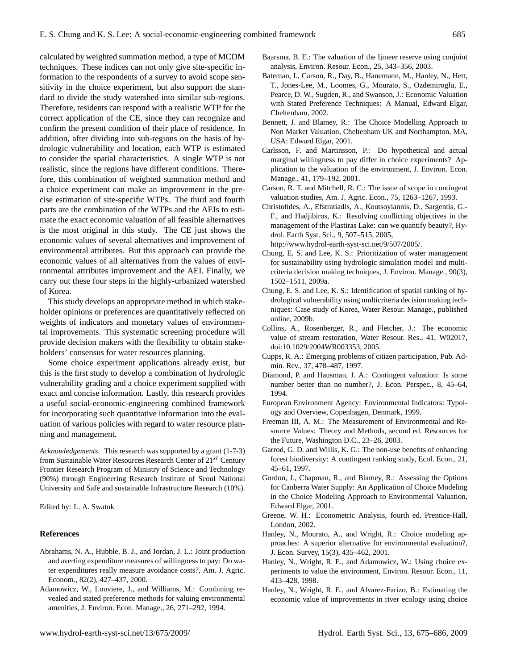calculated by weighted summation method, a type of MCDM techniques. These indices can not only give site-specific information to the respondents of a survey to avoid scope sensitivity in the choice experiment, but also support the standard to divide the study watershed into similar sub-regions. Therefore, residents can respond with a realistic WTP for the correct application of the CE, since they can recognize and confirm the present condition of their place of residence. In addition, after dividing into sub-regions on the basis of hydrologic vulnerability and location, each WTP is estimated to consider the spatial characteristics. A single WTP is not realistic, since the regions have different conditions. Therefore, this combination of weighted summation method and a choice experiment can make an improvement in the precise estimation of site-specific WTPs. The third and fourth parts are the combination of the WTPs and the AEIs to estimate the exact economic valuation of all feasible alternatives is the most original in this study. The CE just shows the economic values of several alternatives and improvement of environmental attributes. But this approach can provide the economic values of all alternatives from the values of environmental attributes improvement and the AEI. Finally, we carry out these four steps in the highly-urbanized watershed of Korea.

This study develops an appropriate method in which stakeholder opinions or preferences are quantitatively reflected on weights of indicators and monetary values of environmental improvements. This systematic screening procedure will provide decision makers with the flexibility to obtain stakeholders' consensus for water resources planning.

Some choice experiment applications already exist, but this is the first study to develop a combination of hydrologic vulnerability grading and a choice experiment supplied with exact and concise information. Lastly, this research provides a useful social-economic-engineering combined framework for incorporating such quantitative information into the evaluation of various policies with regard to water resource planning and management.

*Acknowledgements.* This research was supported by a grant (1-7-3) from Sustainable Water Resources Research Center of  $21^{st}$  Century Frontier Research Program of Ministry of Science and Technology (90%) through Engineering Research Institute of Seoul National University and Safe and sustainable Infrastructure Research (10%).

Edited by: L. A. Swatuk

#### **References**

- Abrahams, N. A., Hubble, B. J., and Jordan, J. L.: Joint production and averting expenditure measures of willingness to pay: Do water expenditures really measure avoidance costs?, Am. J. Agric. Econom., 82(2), 427–437, 2000.
- Adamowicz, W., Louviere, J., and Williams, M.: Combining revealed and stated preference methods for valuing environmental amenities, J. Environ. Econ. Manage., 26, 271–292, 1994.
- Baarsma, B. E.: The valuation of the Ijmeer reserve using conjoint analysis, Environ. Resour. Econ., 25, 343–356, 2003.
- Bateman, I., Carson, R., Day, B., Hanemann, M., Hanley, N., Hett, T., Jones-Lee, M., Loomes, G., Mourato, S., Ozdemiroglu, E., Pearce, D. W., Sugden, R., and Swanson, J.: Economic Valuation with Stated Preference Techniques: A Manual, Edward Elgar, Cheltenham, 2002.
- Bennett, J. and Blamey, R.: The Choice Modelling Approach to Non Market Valuation, Cheltenham UK and Northampton, MA, USA: Edward Elgar, 2001.
- Carlsson, F. and Martinsson, P.: Do hypothetical and actual marginal willingness to pay differ in choice experiments? Application to the valuation of the environment, J. Environ. Econ. Manage., 41, 179–192, 2001.
- Carson, R. T. and Mitchell, R. C.: The issue of scope in contingent valuation studies, Am. J. Agric. Econ., 75, 1263–1267, 1993.
- Christofides, A., Efstratiadis, A., Koutsoyiannis, D., Sargentis, G.- F., and Hadjibiros, K.: Resolving conflicting objectives in the management of the Plastiras Lake: can we quantify beauty?, Hydrol. Earth Syst. Sci., 9, 507–515, 2005,
- [http://www.hydrol-earth-syst-sci.net/9/507/2005/.](http://www.hydrol-earth-syst-sci.net/9/507/2005/) Chung, E. S. and Lee, K. S.: Prioritization of water management
- for sustainability using hydrologic simulation model and multicriteria decision making techniques, J. Environ. Manage., 90(3), 1502–1511, 2009a.
- Chung, E. S. and Lee, K. S.: Identification of spatial ranking of hydrological vulnerability using multicriteria decision making techniques: Case study of Korea, Water Resour. Manage., published online, 2009b.
- Collins, A., Rosenberger, R., and Fletcher, J.: The economic value of stream restoration, Water Resour. Res., 41, W02017, doi:10.1029/2004WR003353, 2005.
- Cupps, R. A.: Emerging problems of citizen participation, Pub. Admin. Rev., 37, 478–487, 1997.
- Diamond, P. and Hausman, J. A.: Contingent valuation: Is some number better than no number?, J. Econ. Perspec., 8, 45–64, 1994.
- European Environment Agency: Environmental Indicators: Typology and Overview, Copenhagen, Denmark, 1999.
- Freeman III, A. M.: The Measurement of Environmental and Resource Values: Theory and Methods, second ed. Resources for the Future, Washington D.C., 23–26, 2003.
- Garrod, G. D. and Willis, K. G.: The non-use benefits of enhancing forest biodiversity: A contingent ranking study, Ecol. Econ., 21, 45–61, 1997.
- Gordon, J., Chapman, R., and Blamey, R.: Assessing the Options for Canberra Water Supply: An Application of Choice Modeling in the Choice Modeling Approach to Environmental Valuation, Edward Elgar, 2001.
- Greene, W. H.: Econometric Analysis, fourth ed. Prentice-Hall, London, 2002.
- Hanley, N., Mourato, A., and Wright, R.: Choice modeling approaches: A superior alternative for environmental evaluation?, J. Econ. Survey, 15(3), 435–462, 2001.
- Hanley, N., Wright, R. E., and Adamowicz, W.: Using choice experiments to value the environment, Environ. Resour. Econ., 11, 413–428, 1998.
- Hanley, N., Wright, R. E., and Alvarez-Farizo, B.: Estimating the economic value of improvements in river ecology using choice